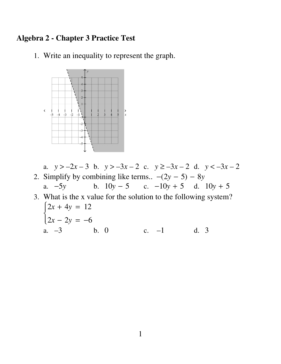## **Algebra 2 - Chapter 3 Practice Test**

1. Write an inequality to represent the graph.



- a.  $y > -2x 3$  b.  $y > -3x 2$  c.  $y \ge -3x 2$  d.  $y < -3x 2$ 2. Simplify by combining like terms..  $-(2y - 5) - 8y$ b.  $10y - 5$  c.  $-10y + 5$  d.  $10y + 5$ a.  $-5y$ 3. What is the x value for the solution to the following system?  $\begin{cases} 2x + 4y = 12 \\ 2x - 2y = -6 \end{cases}$ 
	- a.  $-3$  b. 0 c.  $-1$  d. 3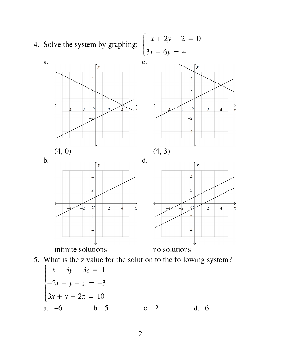

2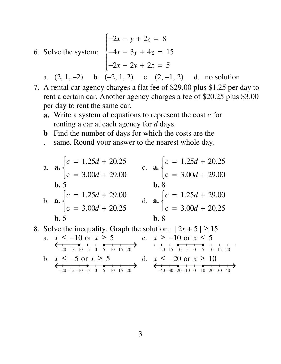- 6. Solve the system:  $-2x - y + 2z = 8$  $-4x - 3y + 4z = 15$  $-2x - 2y + 2z = 5$ Ï Ì  $\overline{\mathcal{L}}$  $\begin{bmatrix} \phantom{-} \\ \phantom{-} \end{bmatrix}$  $\bigg\}$ 
	- a.  $(2, 1, -2)$  b.  $(-2, 1, 2)$  c.  $(2, -1, 2)$  d. no solution
	- 7. A rental car agency charges a flat fee of \$29.00 plus \$1.25 per day to rent a certain car. Another agency charges a fee of \$20.25 plus \$3.00 per day to rent the same car.
		- **a.** Write a system of equations to represent the cost *c* for renting a car at each agency for *d* days.
		- **b** Find the number of days for which the costs are the
		- **.** same. Round your answer to the nearest whole day.

a. **a.** 
$$
\begin{cases} c = 1.25d + 20.25 \\ c = 3.00d + 29.00 \end{cases}
$$
  
\nb. 5  
\nb. 8  
\nc. **a.** 
$$
\begin{cases} c = 1.25d + 29.00 \\ c = 3.00d + 29.00 \end{cases}
$$
  
\nd. **a.** 
$$
\begin{cases} c = 1.25d + 29.00 \\ c = 3.00d + 20.25 \end{cases}
$$
  
\nd. **a.** 
$$
\begin{cases} c = 1.25d + 29.00 \\ c = 3.00d + 20.25 \end{cases}
$$
  
\nb. 8  
\nb. 8

8. Solve the inequality. Graph the solution:  $|2x + 5| \ge 15$ 

a.  $x \le -10$  or  $x \ge 5$ <br>
<br>  $\xrightarrow{-20-15-10-5}$  0 5 10 15 20<br>
<br>  $\xrightarrow{-20-15-10-5}$  0 5 10 15 20 b.  $x \le -5$  or  $x \ge 5$ <br>  $\xrightarrow{+}$  d.  $x \le -20$  or  $x \ge 10$ <br>  $\xrightarrow{-20-15-10-5}$  d.  $x \le -20$  or  $x \ge 10$ 

3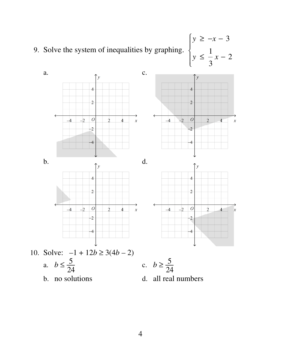9. Solve the system of inequalities by graphing. *y* ≥ −*x* − 3 *y* ≤ 1 3 *x* − 2 Ï Ì  $\overline{\mathcal{L}}$  $\begin{bmatrix} \phantom{-} \\ \phantom{-} \end{bmatrix}$  $\Bigg\}$ 

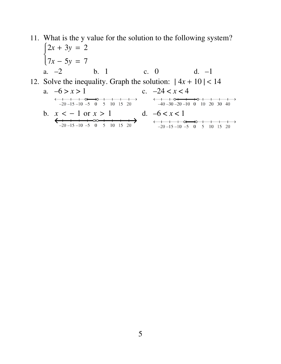## 11. What is the y value for the solution to the following system?  $\begin{cases} 2x + 3y = 2 \\ 7x - 5y = 7 \end{cases}$ b. 1 a.  $-2$ c.  $\theta$  $d. -1$ 12. Solve the inequality. Graph the solution:  $|4x + 10| < 14$ a.  $-6 > x > 1$ c.  $-24 < x < 4$  $\xrightarrow{-1}$  -1 -1 -0 -1 -1 -1<br>-20 -15 -10 -5 0 -5 10 15 20  $\longleftrightarrow$   $\rightarrow$ b.  $x < -1$  or  $x > 1$  d.  $-6 < x < 1$  $\xrightarrow{-20}$  -15 -10 -5 0 5 10 15 20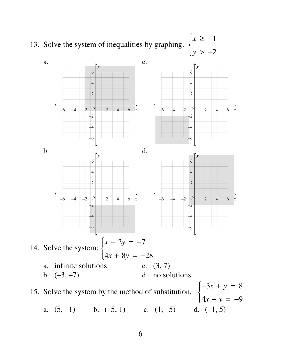

6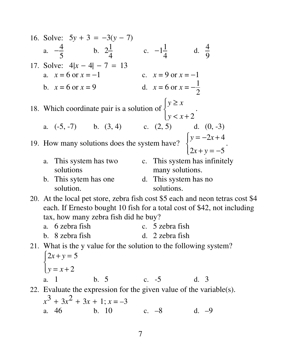16. Solve:  $5y + 3 = -3(y - 7)$ a.  $-\frac{4}{5}$  b.  $2\frac{1}{4}$  c.  $-1\frac{1}{4}$  d.  $\frac{4}{9}$ 17. Solve:  $4|x - 4| - 7 = 13$ <br>
a.  $x = 6$  or  $x = -1$ <br>
b.  $x = 6$  or  $x = 9$ <br>
c.  $x = 9$  or  $x = -1$ <br>
d.  $x = 6$  or  $x = -\frac{1}{2}$ 18. Which coordinate pair is a solution of  $\begin{cases} y \ge x \\ y < x+2 \end{cases}$ . a.  $(-5, -7)$  b.  $(3, 4)$  c.  $(2, 5)$  d.  $(0, -3)$ 19. How many solutions does the system have?  $\begin{cases} y = -2x + 4 \\ 2x + y = -5 \end{cases}$ . a. This system has two c. This system has infinitely solutions many solutions. b. This sytem has one d. This system has no solution. solutions. 20. At the local pet store, zebra fish cost \$5 each and neon tetras cost \$4 each. If Ernesto bought 10 fish for a total cost of \$42, not including tax, how many zebra fish did he buy? a. 6 zebra fish c. 5 zebra fish b. 8 zebra fish d. 2 zebra fish 21. What is the y value for the solution to the following system?  $\begin{cases} 2x+y=5 \\ y=x+2 \end{cases}$  $b.5$  $c. -5$  $d. 3$ a. 1 22. Evaluate the expression for the given value of the variable(s).  $x^3 + 3x^2 + 3x + 1$ ;  $x = -3$ c.  $-8$  d.  $-9$  $b. 10$ a. 46